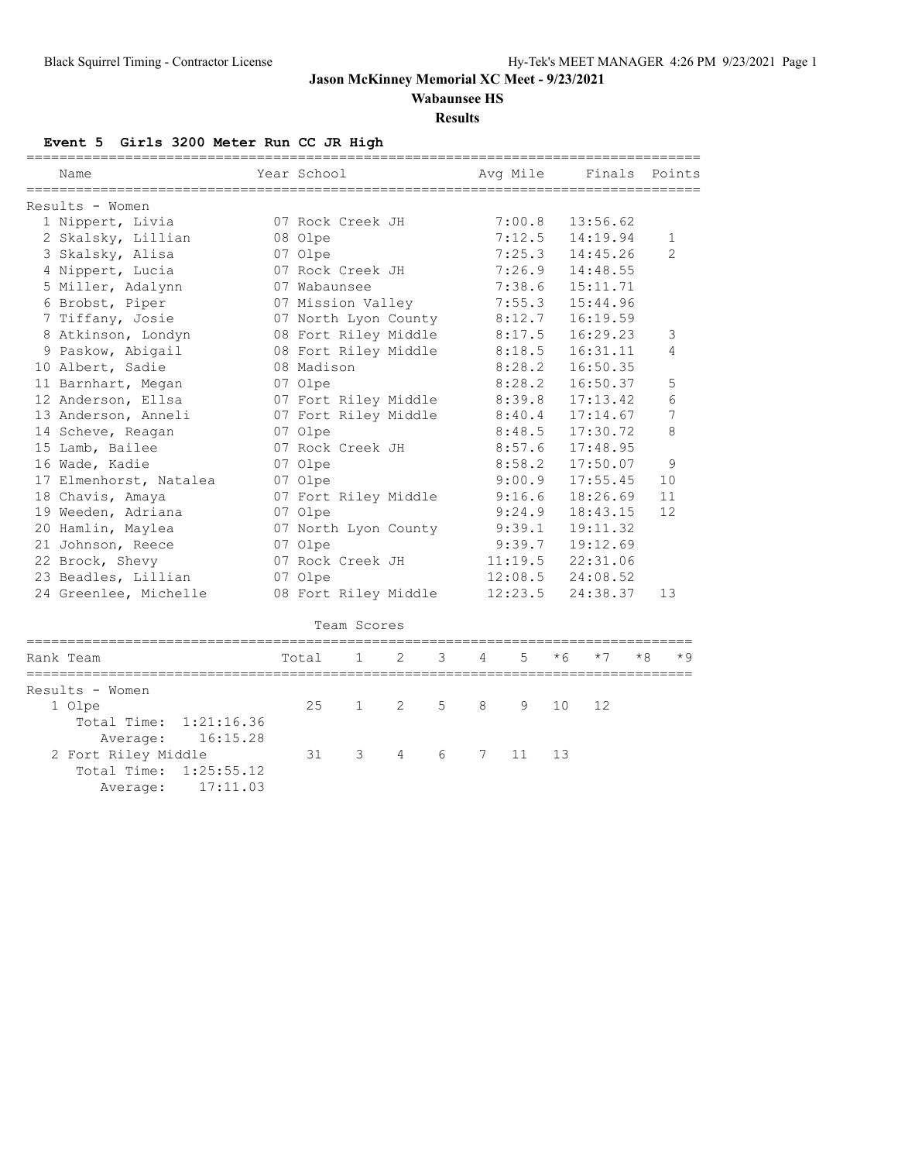**Wabaunsee HS**

#### **Results**

**Event 5 Girls 3200 Meter Run CC JR High**

| Name                      | Year School |                      |   |   |   | Avg Mile |      | Finals   |      | Points         |
|---------------------------|-------------|----------------------|---|---|---|----------|------|----------|------|----------------|
| Results - Women           |             |                      |   |   |   |          |      |          |      |                |
| 1 Nippert, Livia          |             | 07 Rock Creek JH     |   |   |   | 7:00.8   |      | 13:56.62 |      |                |
| 2 Skalsky, Lillian        | 08 Olpe     |                      |   |   |   | 7:12.5   |      | 14:19.94 |      | 1              |
| 3 Skalsky, Alisa          | 07 Olpe     |                      |   |   |   | 7:25.3   |      | 14:45.26 |      | $\mathfrak{D}$ |
| 4 Nippert, Lucia          |             | 07 Rock Creek JH     |   |   |   | 7:26.9   |      | 14:48.55 |      |                |
| 5 Miller, Adalynn         |             | 07 Wabaunsee         |   |   |   | 7:38.6   |      | 15:11.71 |      |                |
| 6 Brobst, Piper           |             | 07 Mission Valley    |   |   |   | 7:55.3   |      | 15:44.96 |      |                |
| 7 Tiffany, Josie          |             | 07 North Lyon County |   |   |   | 8:12.7   |      | 16:19.59 |      |                |
| 8 Atkinson, Londyn        |             | 08 Fort Riley Middle |   |   |   | 8:17.5   |      | 16:29.23 |      | 3              |
| 9 Paskow, Abigail         |             | 08 Fort Riley Middle |   |   |   | 8:18.5   |      | 16:31.11 |      | 4              |
| 10 Albert, Sadie          | 08 Madison  |                      |   |   |   | 8:28.2   |      | 16:50.35 |      |                |
| 11 Barnhart, Megan        | 07 Olpe     |                      |   |   |   | 8:28.2   |      | 16:50.37 |      | 5              |
| 12 Anderson, Ellsa        |             | 07 Fort Riley Middle |   |   |   | 8:39.8   |      | 17:13.42 |      | 6              |
| 13 Anderson, Anneli       |             | 07 Fort Riley Middle |   |   |   | 8:40.4   |      | 17:14.67 |      | 7              |
| 14 Scheve, Reagan         | 07 Olpe     |                      |   |   |   | 8:48.5   |      | 17:30.72 |      | 8              |
| 15 Lamb, Bailee           |             | 07 Rock Creek JH     |   |   |   | 8:57.6   |      | 17:48.95 |      |                |
| 16 Wade, Kadie            | 07 Olpe     |                      |   |   |   | 8:58.2   |      | 17:50.07 |      | 9              |
| 17 Elmenhorst, Natalea    | 07 Olpe     |                      |   |   |   | 9:00.9   |      | 17:55.45 |      | 10             |
| 18 Chavis, Amaya          |             | 07 Fort Riley Middle |   |   |   | 9:16.6   |      | 18:26.69 |      | 11             |
| 19 Weeden, Adriana        | 07 Olpe     |                      |   |   |   | 9:24.9   |      | 18:43.15 |      | 12             |
| 20 Hamlin, Maylea         |             | 07 North Lyon County |   |   |   | 9:39.1   |      | 19:11.32 |      |                |
| 21 Johnson, Reece         | 07 Olpe     |                      |   |   |   | 9:39.7   |      | 19:12.69 |      |                |
| 22 Brock, Shevy           |             | 07 Rock Creek JH     |   |   |   | 11:19.5  |      | 22:31.06 |      |                |
| 23 Beadles, Lillian       | 07 Olpe     |                      |   |   |   | 12:08.5  |      | 24:08.52 |      |                |
| 24 Greenlee, Michelle     |             | 08 Fort Riley Middle |   |   |   | 12:23.5  |      | 24:38.37 |      | 13             |
|                           |             |                      |   |   |   |          |      |          |      |                |
|                           |             | Team Scores          |   |   |   |          |      |          |      |                |
| Rank Team                 | Total       | 1                    | 2 | 3 | 4 | 5        | $*6$ | $*7$     | $*8$ | * 9            |
| Results - Women           |             |                      |   |   |   |          |      |          |      |                |
| 1 Olpe                    | 25          | 1                    | 2 | 5 | 8 | 9        | 10   | 12       |      |                |
| Total Time:<br>1:21:16.36 |             |                      |   |   |   |          |      |          |      |                |
| 16:15.28<br>Average:      |             |                      |   |   |   |          |      |          |      |                |
| 2 Fort Riley Middle       | 31          | 3                    | 4 | 6 | 7 | 11       | 13   |          |      |                |
| Total Time:<br>1:25:55.12 |             |                      |   |   |   |          |      |          |      |                |
|                           |             |                      |   |   |   |          |      |          |      |                |

Average: 17:11.03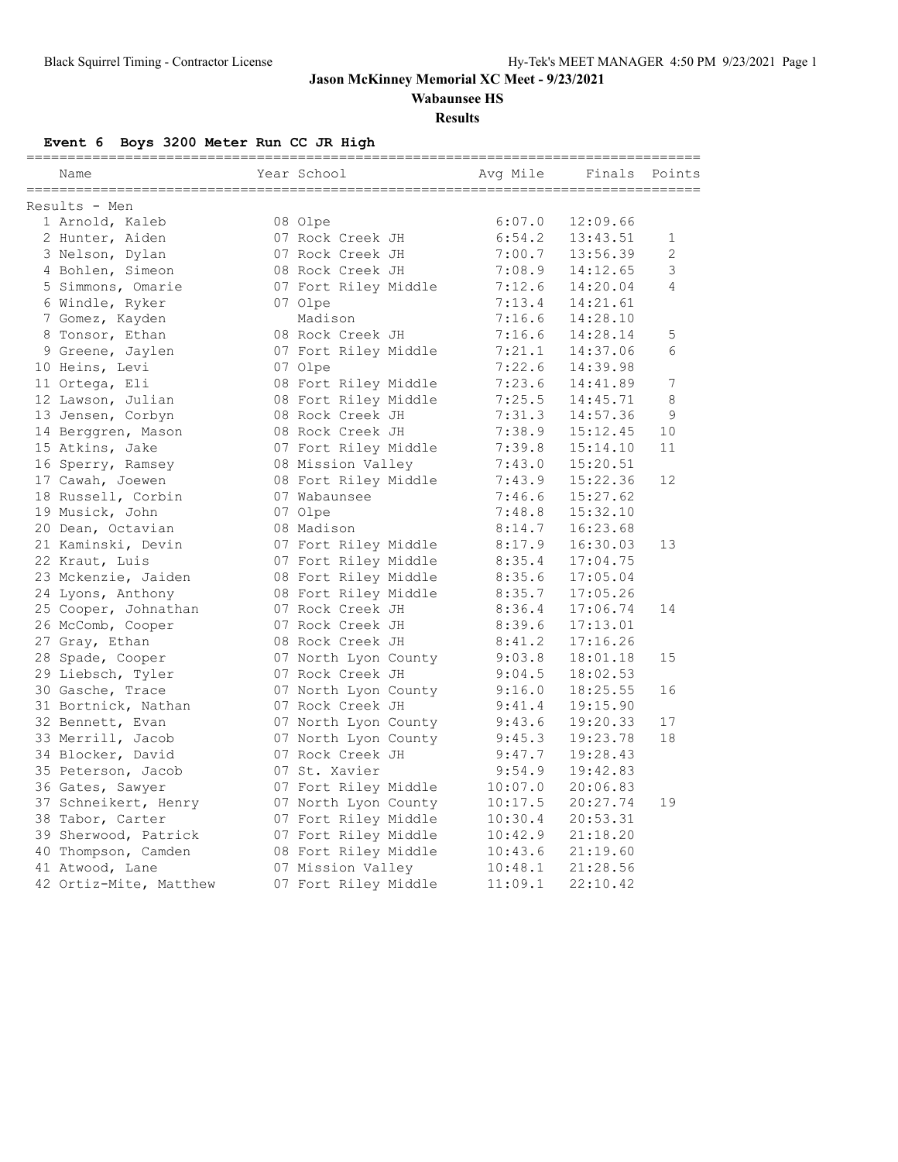**Wabaunsee HS**

#### **Results**

**Event 6 Boys 3200 Meter Run CC JR High**

| Name                   | Year School          | Avq Mile | __________________<br>Finals | Points         |
|------------------------|----------------------|----------|------------------------------|----------------|
| Results - Men          |                      |          |                              |                |
| 1 Arnold, Kaleb        | 08 Olpe              | 6:07.0   | 12:09.66                     |                |
| 2 Hunter, Aiden        | 07 Rock Creek JH     | 6:54.2   | 13:43.51                     | 1              |
| 3 Nelson, Dylan        | 07 Rock Creek JH     | 7:00.7   | 13:56.39                     | $\overline{2}$ |
| 4 Bohlen, Simeon       | 08 Rock Creek JH     | 7:08.9   | 14:12.65                     | $\mathfrak{Z}$ |
| 5 Simmons, Omarie      | 07 Fort Riley Middle | 7:12.6   | 14:20.04                     | 4              |
| 6 Windle, Ryker        | 07 Olpe              | 7:13.4   | 14:21.61                     |                |
| 7 Gomez, Kayden        | Madison              | 7:16.6   | 14:28.10                     |                |
| 8 Tonsor, Ethan        | 08 Rock Creek JH     | 7:16.6   | 14:28.14                     | 5              |
| 9 Greene, Jaylen       | 07 Fort Riley Middle | 7:21.1   | 14:37.06                     | 6              |
| 10 Heins, Levi         | 07 Olpe              | 7:22.6   | 14:39.98                     |                |
| 11 Ortega, Eli         | 08 Fort Riley Middle | 7:23.6   | 14:41.89                     | 7              |
| 12 Lawson, Julian      | 08 Fort Riley Middle | 7:25.5   | 14:45.71                     | 8              |
| 13 Jensen, Corbyn      | 08 Rock Creek JH     | 7:31.3   | 14:57.36                     | 9              |
| 14 Berggren, Mason     | 08 Rock Creek JH     | 7:38.9   | 15:12.45                     | 10             |
| 15 Atkins, Jake        | 07 Fort Riley Middle | 7:39.8   | 15:14.10                     | 11             |
| 16 Sperry, Ramsey      | 08 Mission Valley    | 7:43.0   | 15:20.51                     |                |
| 17 Cawah, Joewen       | 08 Fort Riley Middle | 7:43.9   | 15:22.36                     | 12             |
| 18 Russell, Corbin     | 07 Wabaunsee         | 7:46.6   | 15:27.62                     |                |
| 19 Musick, John        | 07 Olpe              | 7:48.8   | 15:32.10                     |                |
| 20 Dean, Octavian      | 08 Madison           | 8:14.7   | 16:23.68                     |                |
| 21 Kaminski, Devin     | 07 Fort Riley Middle | 8:17.9   | 16:30.03                     | 13             |
| 22 Kraut, Luis         | 07 Fort Riley Middle | 8:35.4   | 17:04.75                     |                |
| 23 Mckenzie, Jaiden    | 08 Fort Riley Middle | 8:35.6   | 17:05.04                     |                |
| 24 Lyons, Anthony      | 08 Fort Riley Middle | 8:35.7   | 17:05.26                     |                |
| 25 Cooper, Johnathan   | 07 Rock Creek JH     | 8:36.4   | 17:06.74                     | 14             |
| 26 McComb, Cooper      | 07 Rock Creek JH     | 8:39.6   | 17:13.01                     |                |
| 27 Gray, Ethan         | 08 Rock Creek JH     | 8:41.2   | 17:16.26                     |                |
| 28 Spade, Cooper       | 07 North Lyon County | 9:03.8   | 18:01.18                     | 15             |
| 29 Liebsch, Tyler      | 07 Rock Creek JH     | 9:04.5   | 18:02.53                     |                |
| 30 Gasche, Trace       | 07 North Lyon County | 9:16.0   | 18:25.55                     | 16             |
| 31 Bortnick, Nathan    | 07 Rock Creek JH     | 9:41.4   | 19:15.90                     |                |
| 32 Bennett, Evan       | 07 North Lyon County | 9:43.6   | 19:20.33                     | 17             |
| 33 Merrill, Jacob      | 07 North Lyon County | 9:45.3   | 19:23.78                     | 18             |
| 34 Blocker, David      | 07 Rock Creek JH     | 9:47.7   | 19:28.43                     |                |
| 35 Peterson, Jacob     | 07 St. Xavier        | 9:54.9   | 19:42.83                     |                |
| 36 Gates, Sawyer       | 07 Fort Riley Middle | 10:07.0  | 20:06.83                     |                |
| 37 Schneikert, Henry   | 07 North Lyon County | 10:17.5  | 20:27.74                     | 19             |
| 38 Tabor, Carter       | 07 Fort Riley Middle | 10:30.4  | 20:53.31                     |                |
| 39 Sherwood, Patrick   | 07 Fort Riley Middle | 10:42.9  | 21:18.20                     |                |
| 40 Thompson, Camden    | 08 Fort Riley Middle | 10:43.6  | 21:19.60                     |                |
| 41 Atwood, Lane        | 07 Mission Valley    | 10:48.1  | 21:28.56                     |                |
| 42 Ortiz-Mite, Matthew | 07 Fort Riley Middle | 11:09.1  | 22:10.42                     |                |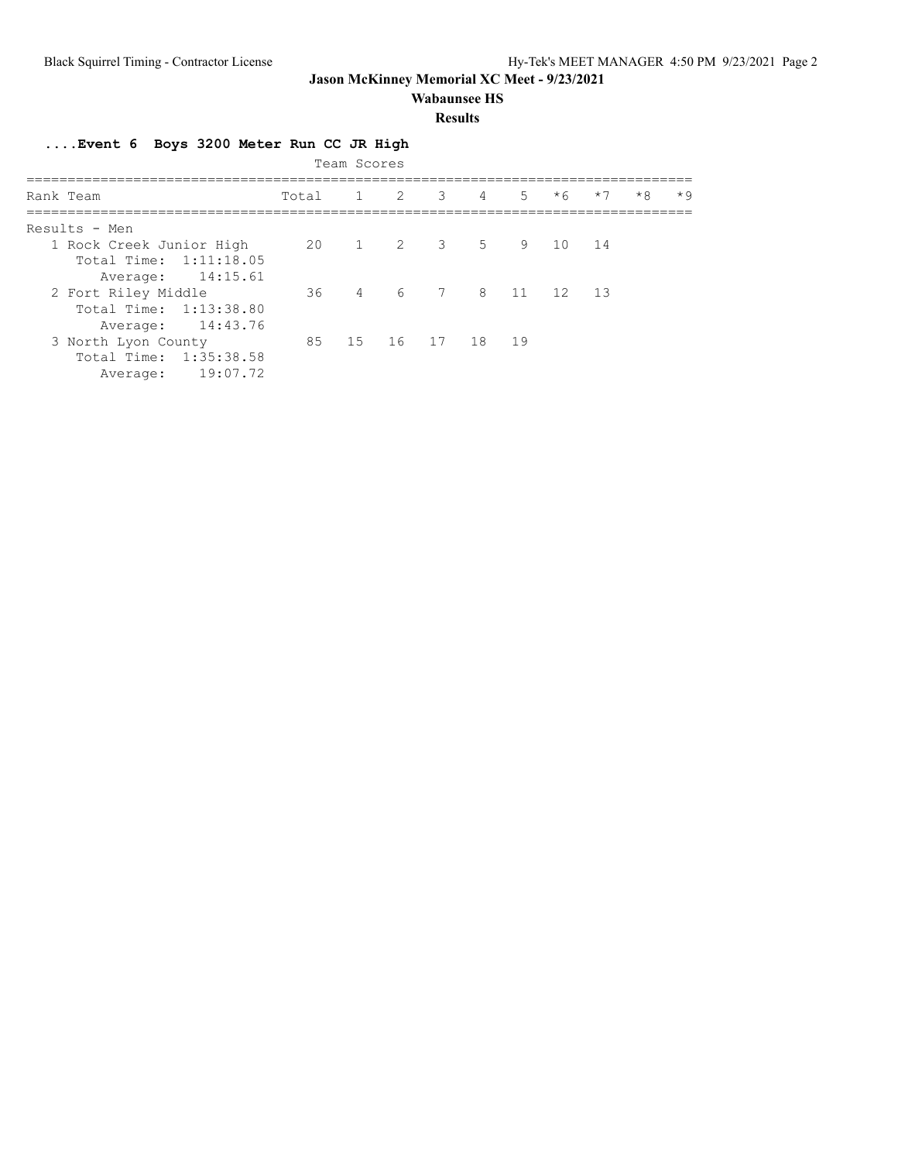### **Wabaunsee HS**

### **Results**

## **....Event 6 Boys 3200 Meter Run CC JR High**

| Team Scores              |       |  |                          |  |  |  |  |      |      |      |
|--------------------------|-------|--|--------------------------|--|--|--|--|------|------|------|
| Rank Team                | Total |  | $1 \t2 \t3 \t4 \t5 \t*6$ |  |  |  |  | $*7$ | $*8$ | $*9$ |
| Results - Men            |       |  |                          |  |  |  |  |      |      |      |
| 1 Rock Creek Junior High |       |  | 20 1 2 3 5 9 10 14       |  |  |  |  |      |      |      |
| Total Time: 1:11:18.05   |       |  |                          |  |  |  |  |      |      |      |
| Average: 14:15.61        |       |  |                          |  |  |  |  |      |      |      |
| 2 Fort Riley Middle      |       |  | 36 4 6 7 8 11 12 13      |  |  |  |  |      |      |      |
| Total Time: 1:13:38.80   |       |  |                          |  |  |  |  |      |      |      |
| Average: 14:43.76        |       |  |                          |  |  |  |  |      |      |      |
| 3 North Lyon County      |       |  | 85 15 16 17 18 19        |  |  |  |  |      |      |      |
| Total Time: 1:35:38.58   |       |  |                          |  |  |  |  |      |      |      |
| 19:07.72<br>Average:     |       |  |                          |  |  |  |  |      |      |      |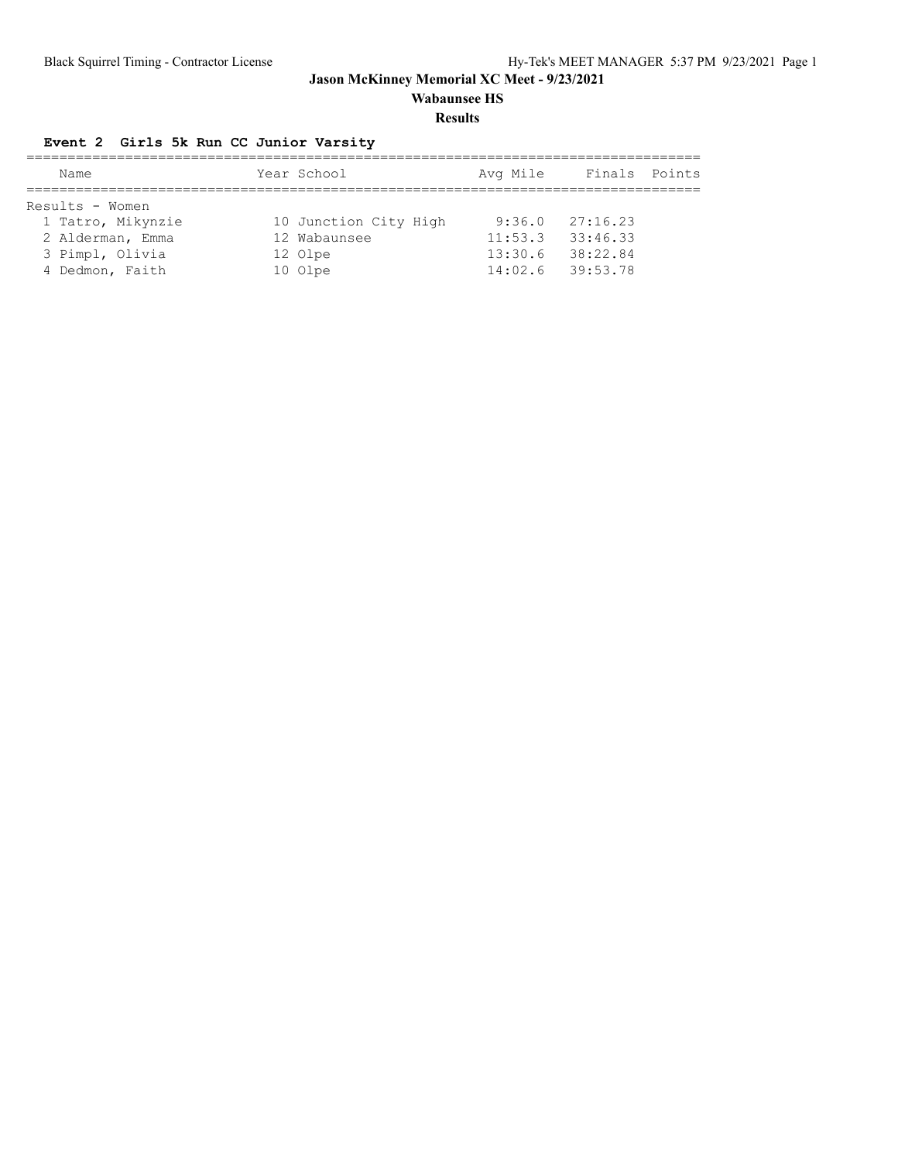**Wabaunsee HS**

#### **Results**

## **Event 2 Girls 5k Run CC Junior Varsity**

| Name              | Year School           | Avg Mile           | Finals Points |  |
|-------------------|-----------------------|--------------------|---------------|--|
|                   |                       |                    |               |  |
| Results - Women   |                       |                    |               |  |
| 1 Tatro, Mikynzie | 10 Junction City High | 9:36.0             | 27:16.23      |  |
| 2 Alderman, Emma  | 12 Wabaunsee          | 11:53.3            | 33:46.33      |  |
| 3 Pimpl, Olivia   | 12 Olpe               | 13:30.6            | 38:22.84      |  |
| 4 Dedmon, Faith   | 10 Olpe               | $14:02.6$ 39:53.78 |               |  |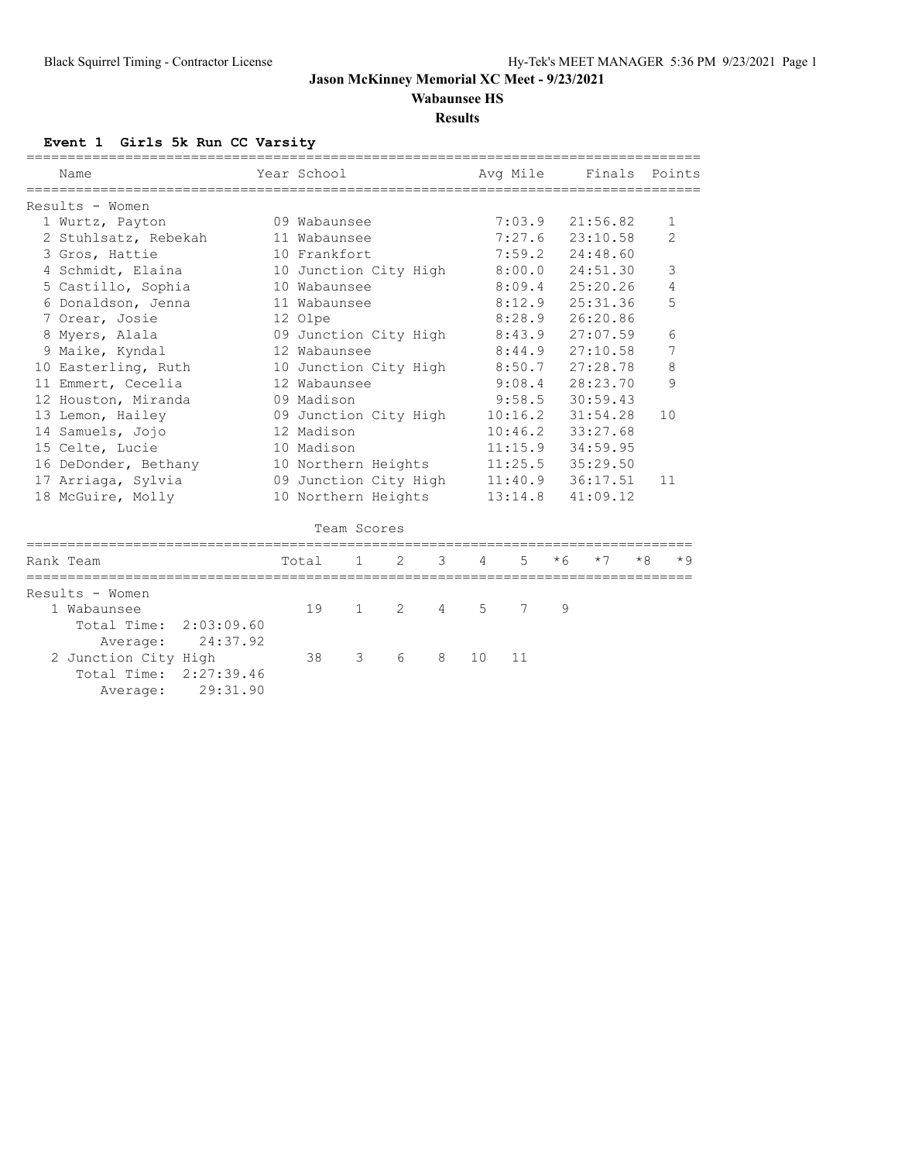**Wabaunsee HS**

#### **Results**

## **Event 1 Girls 5k Run CC Varsity**

| ==========<br>Name        | Year School           |   |   |   |    | Ava Mile |      | Finals   | Points         |      |
|---------------------------|-----------------------|---|---|---|----|----------|------|----------|----------------|------|
|                           |                       |   |   |   |    |          |      |          |                |      |
| Results - Women           |                       |   |   |   |    |          |      |          |                |      |
| 1 Wurtz, Payton           | 09 Wabaunsee          |   |   |   |    | 7:03.9   |      | 21:56.82 | 1              |      |
| 2 Stuhlsatz, Rebekah      | 11 Wabaunsee          |   |   |   |    | 7:27.6   |      | 23:10.58 | $\overline{2}$ |      |
| 3 Gros, Hattie            | 10 Frankfort          |   |   |   |    | 7:59.2   |      | 24:48.60 |                |      |
| 4 Schmidt, Elaina         | 10 Junction City High |   |   |   |    | 8:00.0   |      | 24:51.30 | 3              |      |
| 5 Castillo, Sophia        | 10 Wabaunsee          |   |   |   |    | 8:09.4   |      | 25:20.26 | 4              |      |
| 6 Donaldson, Jenna        | 11 Wabaunsee          |   |   |   |    | 8:12.9   |      | 25:31.36 | 5              |      |
| 7 Orear, Josie            | 12 Olpe               |   |   |   |    | 8:28.9   |      | 26:20.86 |                |      |
| 8 Myers, Alala            | 09 Junction City High |   |   |   |    | 8:43.9   |      | 27:07.59 | 6              |      |
| 9 Maike, Kyndal           | 12 Wabaunsee          |   |   |   |    | 8:44.9   |      | 27:10.58 | 7              |      |
| 10 Easterling, Ruth       | 10 Junction City High |   |   |   |    | 8:50.7   |      | 27:28.78 | 8              |      |
| 11 Emmert, Cecelia        | 12 Wabaunsee          |   |   |   |    | 9:08.4   |      | 28:23.70 | 9              |      |
| 12 Houston, Miranda       | 09 Madison            |   |   |   |    | 9:58.5   |      | 30:59.43 |                |      |
| 13 Lemon, Hailey          | 09 Junction City High |   |   |   |    | 10:16.2  |      | 31:54.28 | 10             |      |
| 14 Samuels, Jojo          | 12 Madison            |   |   |   |    | 10:46.2  |      | 33:27.68 |                |      |
| 15 Celte, Lucie           | 10 Madison            |   |   |   |    | 11:15.9  |      | 34:59.95 |                |      |
| 16 DeDonder, Bethany      | 10 Northern Heights   |   |   |   |    | 11:25.5  |      | 35:29.50 |                |      |
| 17 Arriaga, Sylvia        | 09 Junction City High |   |   |   |    | 11:40.9  |      | 36:17.51 | 11             |      |
| 18 McGuire, Molly         | 10 Northern Heights   |   |   |   |    | 13:14.8  |      | 41:09.12 |                |      |
|                           |                       |   |   |   |    |          |      |          |                |      |
|                           | Team Scores           |   |   |   |    |          |      |          |                |      |
| Rank Team                 | Total                 | 1 | 2 | 3 | 4  | 5        | $*6$ | $*7$     | $*8$           | $*9$ |
|                           |                       |   |   |   |    |          |      |          |                |      |
| Results - Women           |                       |   |   |   |    |          |      |          |                |      |
| 1 Wabaunsee               | 19                    | 1 | 2 | 4 | 5  | 7        | 9    |          |                |      |
| Total Time:<br>2:03:09.60 |                       |   |   |   |    |          |      |          |                |      |
| 24:37.92<br>Average:      |                       |   |   |   |    |          |      |          |                |      |
| 2 Junction City High      | 38                    | 3 | 6 | 8 | 10 | 11       |      |          |                |      |
| Total Time:<br>2:27:39.46 |                       |   |   |   |    |          |      |          |                |      |
| 29:31.90<br>Average:      |                       |   |   |   |    |          |      |          |                |      |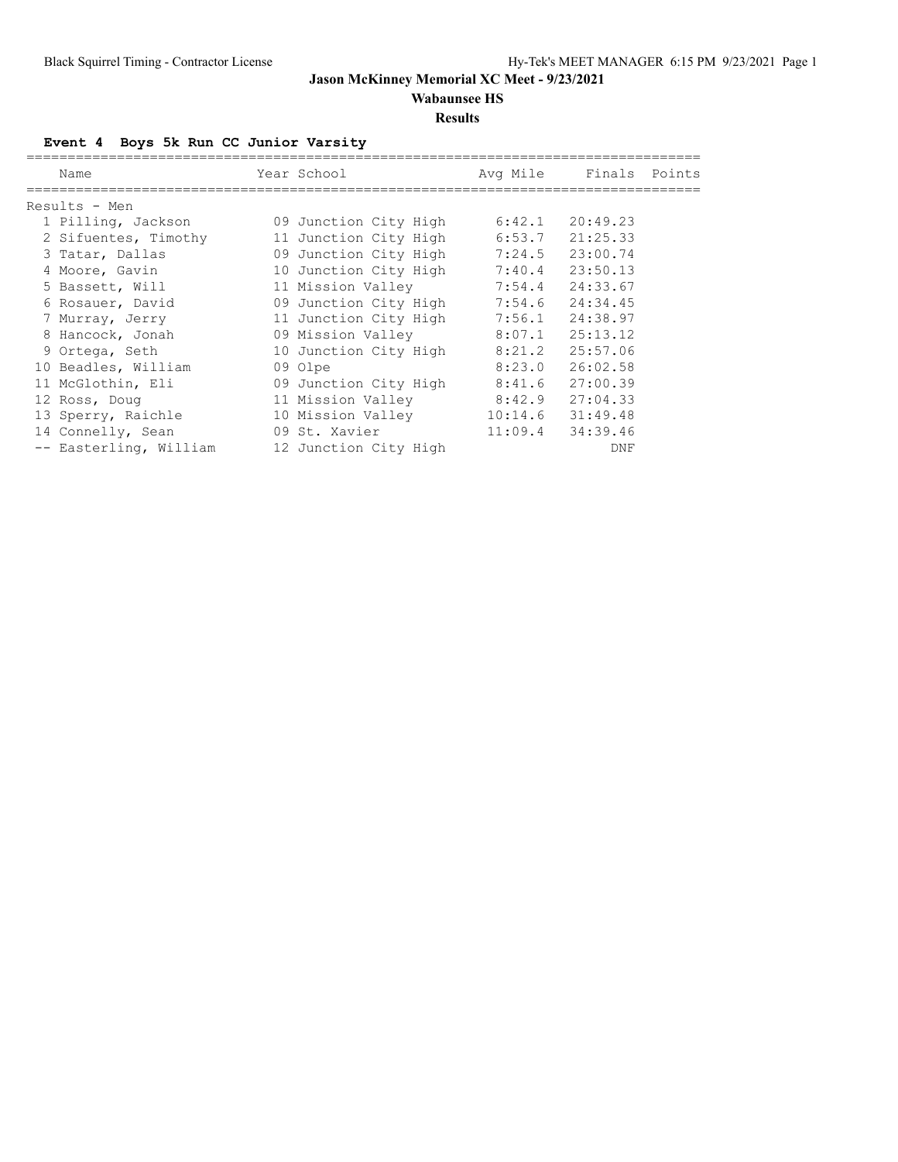**Wabaunsee HS**

#### **Results**

**Event 4 Boys 5k Run CC Junior Varsity**

| Name                   | Year School           | Avg Mile | Finals   | Points |
|------------------------|-----------------------|----------|----------|--------|
| Results - Men          |                       |          |          |        |
| 1 Pilling, Jackson     | 09 Junction City High | 6:42.1   | 20:49.23 |        |
| 2 Sifuentes, Timothy   | 11 Junction City High | 6:53.7   | 21:25.33 |        |
| 3 Tatar, Dallas        | 09 Junction City High | 7:24.5   | 23:00.74 |        |
| 4 Moore, Gavin         | 10 Junction City High | 7:40.4   | 23:50.13 |        |
| 5 Bassett, Will        | 11 Mission Valley     | 7:54.4   | 24:33.67 |        |
| 6 Rosauer, David       | 09 Junction City High | 7:54.6   | 24:34.45 |        |
| 7 Murray, Jerry        | 11 Junction City High | 7:56.1   | 24:38.97 |        |
| 8 Hancock, Jonah       | 09 Mission Valley     | 8:07.1   | 25:13.12 |        |
| 9 Ortega, Seth         | 10 Junction City High | 8:21.2   | 25:57.06 |        |
| 10 Beadles, William    | 09 Olpe               | 8:23.0   | 26:02.58 |        |
| 11 McGlothin, Eli      | 09 Junction City High | 8:41.6   | 27:00.39 |        |
| 12 Ross, Doug          | 11 Mission Valley     | 8:42.9   | 27:04.33 |        |
| 13 Sperry, Raichle     | 10 Mission Valley     | 10:14.6  | 31:49.48 |        |
| 14 Connelly, Sean      | 09 St. Xavier         | 11:09.4  | 34:39.46 |        |
| -- Easterling, William | 12 Junction City High |          | DNF      |        |